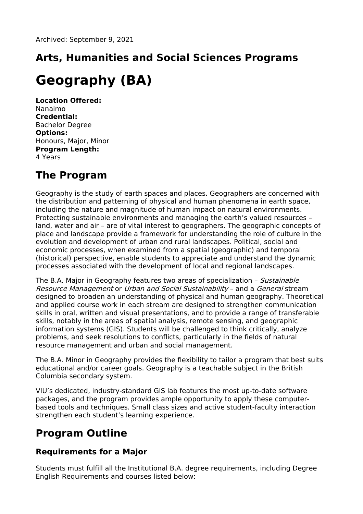# **Arts, Humanities and Social Sciences Programs**

# **Geography (BA)**

**Location Offered:** Nanaimo **Credential:** Bachelor Degree **Options:** Honours, Major, Minor **Program Length:** 4 Years

## **The Program**

Geography is the study of earth spaces and places. Geographers are concerned with the distribution and patterning of physical and human phenomena in earth space, including the nature and magnitude of human impact on natural environments. Protecting sustainable environments and managing the earth's valued resources – land, water and air – are of vital interest to geographers. The geographic concepts of place and landscape provide a framework for understanding the role of culture in the evolution and development of urban and rural landscapes. Political, social and economic processes, when examined from a spatial (geographic) and temporal (historical) perspective, enable students to appreciate and understand the dynamic processes associated with the development of local and regional landscapes.

The B.A. Major in Geography features two areas of specialization - Sustainable Resource Management or Urban and Social Sustainability – and a General stream designed to broaden an understanding of physical and human geography. Theoretical and applied course work in each stream are designed to strengthen communication skills in oral, written and visual presentations, and to provide a range of transferable skills, notably in the areas of spatial analysis, remote sensing, and geographic information systems (GIS). Students will be challenged to think critically, analyze problems, and seek resolutions to conflicts, particularly in the fields of natural resource management and urban and social management.

The B.A. Minor in Geography provides the flexibility to tailor a program that best suits educational and/or career goals. Geography is a teachable subject in the British Columbia secondary system.

VIU's dedicated, industry-standard GIS lab features the most up-to-date software packages, and the program provides ample opportunity to apply these computerbased tools and techniques. Small class sizes and active student-faculty interaction strengthen each student's learning experience.

## **Program Outline**

#### **Requirements for a Major**

Students must fulfill all the Institutional B.A. degree requirements, including Degree English Requirements and courses listed below: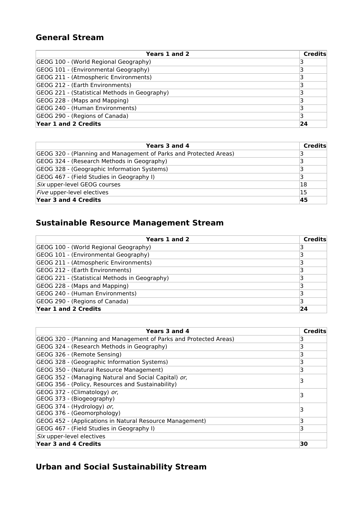#### **General Stream**

| Years 1 and 2                                 | <b>Credits</b> |
|-----------------------------------------------|----------------|
| GEOG 100 - (World Regional Geography)         |                |
| GEOG 101 - (Environmental Geography)          |                |
| GEOG 211 - (Atmospheric Environments)         |                |
| GEOG 212 - (Earth Environments)               |                |
| GEOG 221 - (Statistical Methods in Geography) |                |
| GEOG 228 - (Maps and Mapping)                 |                |
| GEOG 240 - (Human Environments)               |                |
| GEOG 290 - (Regions of Canada)                |                |
| Year 1 and 2 Credits                          | 24             |

| Years 3 and 4                                                     | <b>Credits</b> |
|-------------------------------------------------------------------|----------------|
| GEOG 320 - (Planning and Management of Parks and Protected Areas) |                |
| GEOG 324 - (Research Methods in Geography)                        |                |
| GEOG 328 - (Geographic Information Systems)                       | з              |
| GEOG 467 - (Field Studies in Geography I)                         |                |
| Six upper-level GEOG courses                                      | 18             |
| Five upper-level electives                                        | 15             |
| Year 3 and 4 Credits                                              | 45             |

### **Sustainable Resource Management Stream**

| Years 1 and 2                                 | <b>Credits</b> |
|-----------------------------------------------|----------------|
| GEOG 100 - (World Regional Geography)         |                |
| GEOG 101 - (Environmental Geography)          |                |
| GEOG 211 - (Atmospheric Environments)         |                |
| GEOG 212 - (Earth Environments)               |                |
| GEOG 221 - (Statistical Methods in Geography) |                |
| GEOG 228 - (Maps and Mapping)                 |                |
| GEOG 240 - (Human Environments)               |                |
| GEOG 290 - (Regions of Canada)                |                |
| Year 1 and 2 Credits                          | 24             |

| Years 3 and 4                                                                                             | <b>Credits</b> |
|-----------------------------------------------------------------------------------------------------------|----------------|
| GEOG 320 - (Planning and Management of Parks and Protected Areas)                                         |                |
| GEOG 324 - (Research Methods in Geography)                                                                | 3              |
| GEOG 326 - (Remote Sensing)                                                                               |                |
| GEOG 328 - (Geographic Information Systems)                                                               | 3              |
| GEOG 350 - (Natural Resource Management)                                                                  | 3              |
| GEOG 352 - (Managing Natural and Social Capital) or,<br>GEOG 356 - (Policy, Resources and Sustainability) |                |
| GEOG 372 - (Climatology) or,<br>GEOG 373 - (Biogeography)                                                 | 3              |
| GEOG 374 - (Hydrology) or,<br>GEOG 376 - (Geomorphology)                                                  |                |
| GEOG 452 - (Applications in Natural Resource Management)                                                  | 3              |
| GEOG 467 - (Field Studies in Geography I)                                                                 | 3              |
| Six upper-level electives                                                                                 |                |
| Year 3 and 4 Credits                                                                                      | 30             |

#### **Urban and Social Sustainability Stream**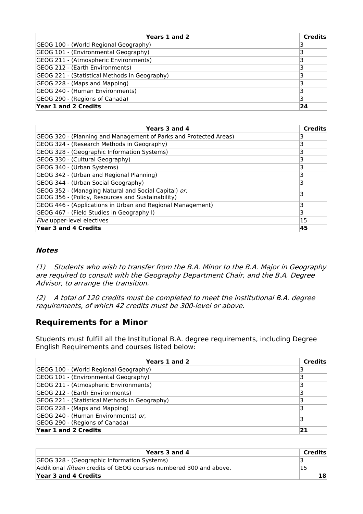| Years 1 and 2                                 | <b>Credits</b> |
|-----------------------------------------------|----------------|
| GEOG 100 - (World Regional Geography)         |                |
| GEOG 101 - (Environmental Geography)          |                |
| GEOG 211 - (Atmospheric Environments)         |                |
| GEOG 212 - (Earth Environments)               |                |
| GEOG 221 - (Statistical Methods in Geography) |                |
| GEOG 228 - (Maps and Mapping)                 |                |
| GEOG 240 - (Human Environments)               |                |
| GEOG 290 - (Regions of Canada)                |                |
| Year 1 and 2 Credits                          | 24             |

| Years 3 and 4                                                                                             | <b>Credits</b> |
|-----------------------------------------------------------------------------------------------------------|----------------|
| GEOG 320 - (Planning and Management of Parks and Protected Areas)                                         |                |
| GEOG 324 - (Research Methods in Geography)                                                                | ٦              |
| GEOG 328 - (Geographic Information Systems)                                                               |                |
| GEOG 330 - (Cultural Geography)                                                                           | 3              |
| GEOG 340 - (Urban Systems)                                                                                | 3              |
| GEOG 342 - (Urban and Regional Planning)                                                                  |                |
| GEOG 344 - (Urban Social Geography)                                                                       | 3              |
| GEOG 352 - (Managing Natural and Social Capital) or,<br>GEOG 356 - (Policy, Resources and Sustainability) |                |
| GEOG 446 - (Applications in Urban and Regional Management)                                                | 3              |
| GEOG 467 - (Field Studies in Geography I)                                                                 | 3              |
| Five upper-level electives                                                                                | 15             |
| Year 3 and 4 Credits                                                                                      | 45             |

#### **Notes**

(1) Students who wish to transfer from the B.A. Minor to the B.A. Major in Geography are required to consult with the Geography Department Chair, and the B.A. Degree Advisor, to arrange the transition.

(2) A total of 120 credits must be completed to meet the institutional B.A. degree requirements, of which 42 credits must be 300-level or above.

#### **Requirements for a Minor**

Students must fulfill all the Institutional B.A. degree requirements, including Degree English Requirements and courses listed below:

| Years 1 and 2                                 | <b>Credits</b> |
|-----------------------------------------------|----------------|
| GEOG 100 - (World Regional Geography)         |                |
| GEOG 101 - (Environmental Geography)          |                |
| GEOG 211 - (Atmospheric Environments)         |                |
| GEOG 212 - (Earth Environments)               |                |
| GEOG 221 - (Statistical Methods in Geography) |                |
| GEOG 228 - (Maps and Mapping)                 |                |
| GEOG 240 - (Human Environments) or,           | 3              |
| GEOG 290 - (Regions of Canada)                |                |
| Year 1 and 2 Credits                          | 21             |

| Years 3 and 4                                                             | Credits |
|---------------------------------------------------------------------------|---------|
| GEOG 328 - (Geographic Information Systems)                               |         |
| Additional <i>fifteen</i> credits of GEOG courses numbered 300 and above. |         |
| Year 3 and 4 Credits                                                      |         |